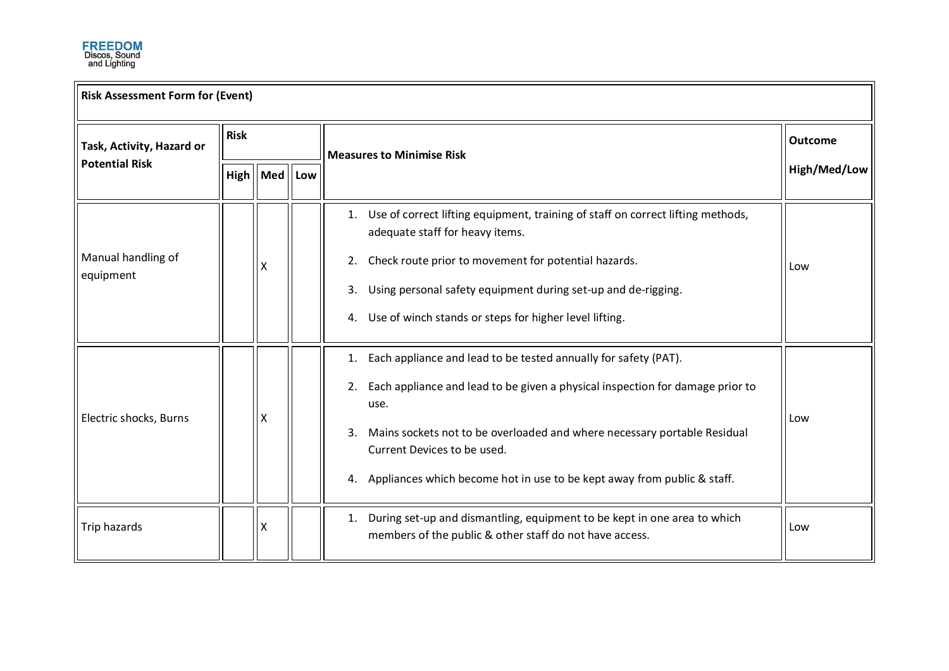

| <b>Risk Assessment Form for (Event)</b>            |             |            |     |                                                                                                                                           |                |  |
|----------------------------------------------------|-------------|------------|-----|-------------------------------------------------------------------------------------------------------------------------------------------|----------------|--|
| Task, Activity, Hazard or<br><b>Potential Risk</b> | <b>Risk</b> |            |     | <b>Measures to Minimise Risk</b>                                                                                                          | <b>Outcome</b> |  |
|                                                    |             | High   Med | Low |                                                                                                                                           | High/Med/Low   |  |
| Manual handling of<br>equipment                    |             |            |     | Use of correct lifting equipment, training of staff on correct lifting methods,<br>1.<br>adequate staff for heavy items.                  | Low            |  |
|                                                    |             | x          |     | Check route prior to movement for potential hazards.<br>2.                                                                                |                |  |
|                                                    |             |            |     | Using personal safety equipment during set-up and de-rigging.<br>3.                                                                       |                |  |
|                                                    |             |            |     | Use of winch stands or steps for higher level lifting.<br>4.                                                                              |                |  |
| Electric shocks, Burns                             |             | х          |     | Each appliance and lead to be tested annually for safety (PAT).<br>1.                                                                     | Low            |  |
|                                                    |             |            |     | Each appliance and lead to be given a physical inspection for damage prior to<br>2.<br>use.                                               |                |  |
|                                                    |             |            |     | Mains sockets not to be overloaded and where necessary portable Residual<br>3.<br>Current Devices to be used.                             |                |  |
|                                                    |             |            |     | Appliances which become hot in use to be kept away from public & staff.<br>4.                                                             |                |  |
| Trip hazards                                       |             | X          |     | During set-up and dismantling, equipment to be kept in one area to which<br>1.<br>members of the public & other staff do not have access. | Low            |  |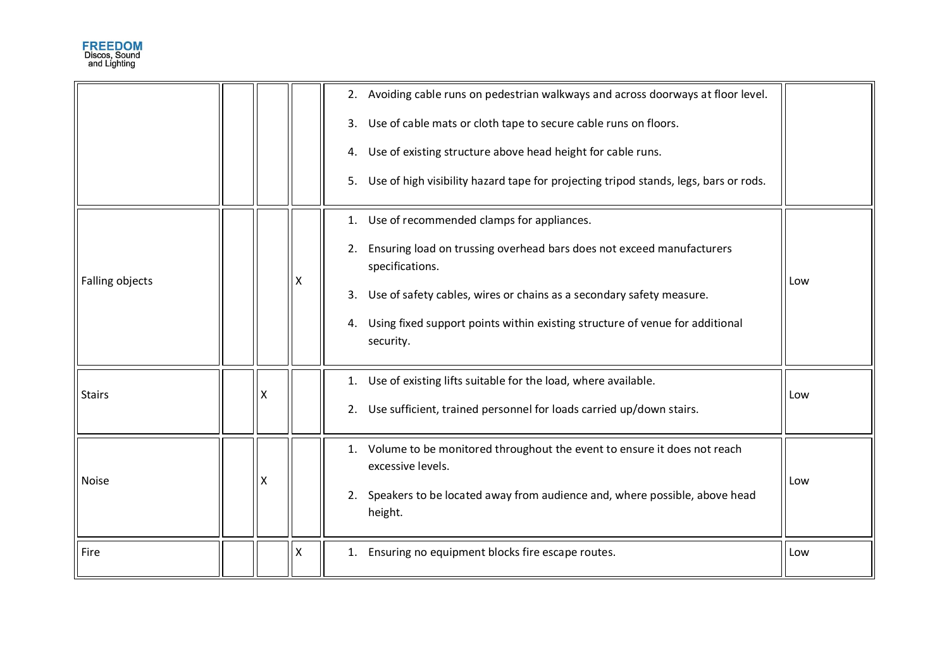|                 |                           |   | 2. Avoiding cable runs on pedestrian walkways and across doorways at floor level.<br>3. Use of cable mats or cloth tape to secure cable runs on floors.<br>4. Use of existing structure above head height for cable runs.<br>5. Use of high visibility hazard tape for projecting tripod stands, legs, bars or rods.   |     |
|-----------------|---------------------------|---|------------------------------------------------------------------------------------------------------------------------------------------------------------------------------------------------------------------------------------------------------------------------------------------------------------------------|-----|
| Falling objects |                           |   | 1. Use of recommended clamps for appliances.<br>2. Ensuring load on trussing overhead bars does not exceed manufacturers<br>specifications.<br>3. Use of safety cables, wires or chains as a secondary safety measure.<br>4. Using fixed support points within existing structure of venue for additional<br>security. | Low |
| <b>Stairs</b>   | X                         |   | 1. Use of existing lifts suitable for the load, where available.<br>2. Use sufficient, trained personnel for loads carried up/down stairs.                                                                                                                                                                             | Low |
| <b>Noise</b>    | $\boldsymbol{\mathsf{X}}$ |   | 1. Volume to be monitored throughout the event to ensure it does not reach<br>excessive levels.<br>2. Speakers to be located away from audience and, where possible, above head<br>height.                                                                                                                             | Low |
| Fire            |                           | Χ | 1. Ensuring no equipment blocks fire escape routes.                                                                                                                                                                                                                                                                    | Low |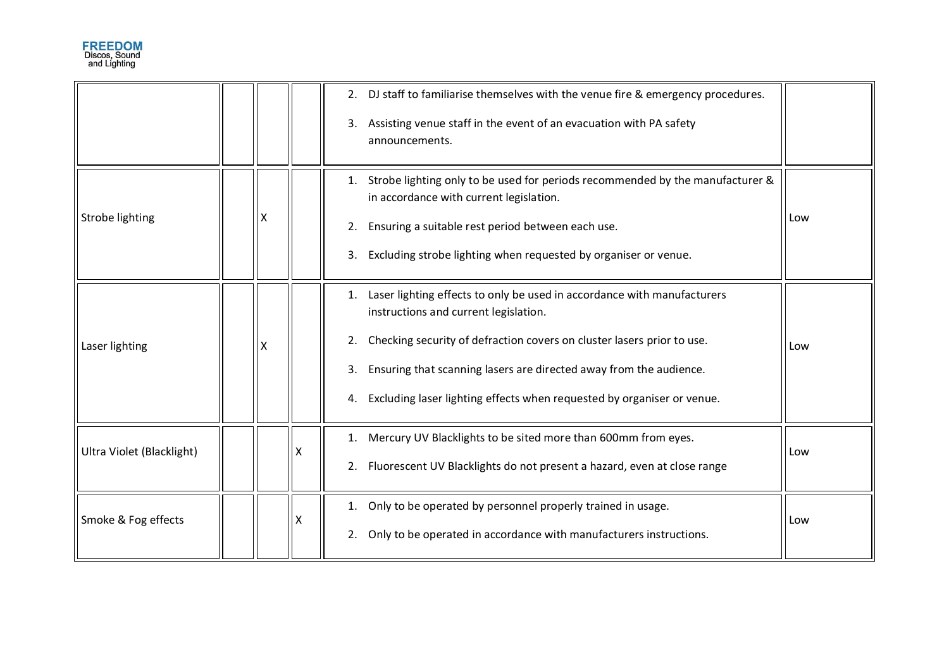|                           |   |   | 2. DJ staff to familiarise themselves with the venue fire & emergency procedures.<br>3. Assisting venue staff in the event of an evacuation with PA safety<br>announcements.                                                                                                                                                                                       |     |
|---------------------------|---|---|--------------------------------------------------------------------------------------------------------------------------------------------------------------------------------------------------------------------------------------------------------------------------------------------------------------------------------------------------------------------|-----|
| Strobe lighting           | X |   | Strobe lighting only to be used for periods recommended by the manufacturer &<br>1.<br>in accordance with current legislation.<br>Ensuring a suitable rest period between each use.<br>2.<br>Excluding strobe lighting when requested by organiser or venue.<br>3.                                                                                                 | Low |
| Laser lighting            | X |   | Laser lighting effects to only be used in accordance with manufacturers<br>1.<br>instructions and current legislation.<br>Checking security of defraction covers on cluster lasers prior to use.<br>2.<br>Ensuring that scanning lasers are directed away from the audience.<br>3.<br>Excluding laser lighting effects when requested by organiser or venue.<br>4. | Low |
| Ultra Violet (Blacklight) |   | x | Mercury UV Blacklights to be sited more than 600mm from eyes.<br>1.<br>Fluorescent UV Blacklights do not present a hazard, even at close range<br>2.                                                                                                                                                                                                               | Low |
| Smoke & Fog effects       |   | x | Only to be operated by personnel properly trained in usage.<br>1.<br>Only to be operated in accordance with manufacturers instructions.<br>2.                                                                                                                                                                                                                      | Low |